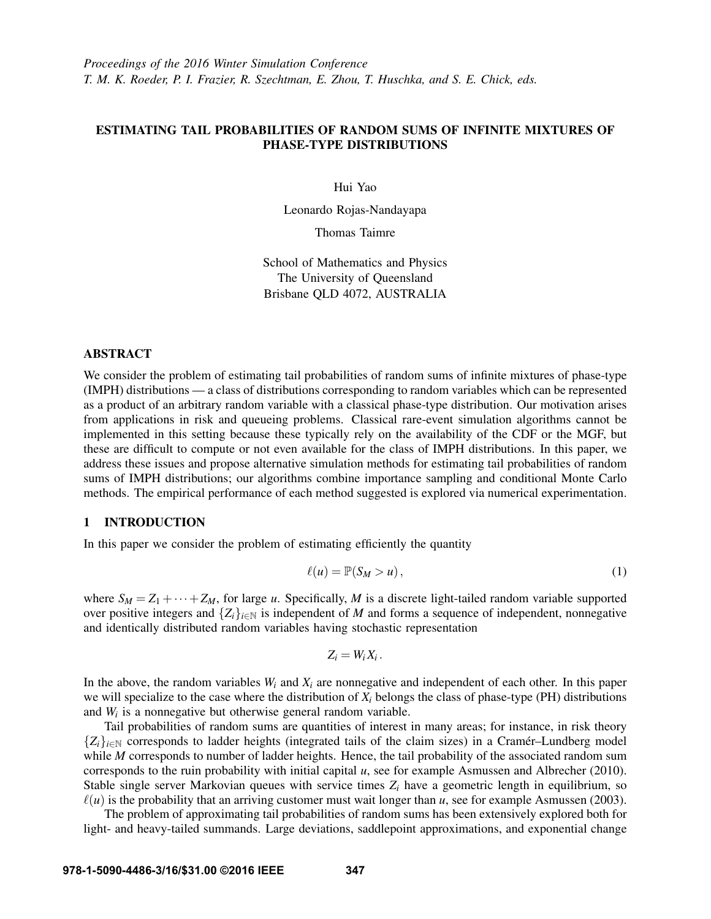# ESTIMATING TAIL PROBABILITIES OF RANDOM SUMS OF INFINITE MIXTURES OF PHASE-TYPE DISTRIBUTIONS

Hui Yao

Leonardo Rojas-Nandayapa

Thomas Taimre

School of Mathematics and Physics The University of Queensland Brisbane QLD 4072, AUSTRALIA

# ABSTRACT

We consider the problem of estimating tail probabilities of random sums of infinite mixtures of phase-type (IMPH) distributions — a class of distributions corresponding to random variables which can be represented as a product of an arbitrary random variable with a classical phase-type distribution. Our motivation arises from applications in risk and queueing problems. Classical rare-event simulation algorithms cannot be implemented in this setting because these typically rely on the availability of the CDF or the MGF, but these are difficult to compute or not even available for the class of IMPH distributions. In this paper, we address these issues and propose alternative simulation methods for estimating tail probabilities of random sums of IMPH distributions; our algorithms combine importance sampling and conditional Monte Carlo methods. The empirical performance of each method suggested is explored via numerical experimentation.

## 1 INTRODUCTION

In this paper we consider the problem of estimating efficiently the quantity

$$
\ell(u) = \mathbb{P}(S_M > u),\tag{1}
$$

where  $S_M = Z_1 + \cdots + Z_M$ , for large *u*. Specifically, *M* is a discrete light-tailed random variable supported over positive integers and  $\{Z_i\}_{i\in\mathbb{N}}$  is independent of *M* and forms a sequence of independent, nonnegative and identically distributed random variables having stochastic representation

$$
Z_i=W_iX_i.
$$

In the above, the random variables  $W_i$  and  $X_i$  are nonnegative and independent of each other. In this paper we will specialize to the case where the distribution of  $X_i$  belongs the class of phase-type (PH) distributions and  $W_i$  is a nonnegative but otherwise general random variable.

Tail probabilities of random sums are quantities of interest in many areas; for instance, in risk theory  ${Z_i}_{i \in \mathbb{N}}$  corresponds to ladder heights (integrated tails of the claim sizes) in a Cramer–Lundberg model while *M* corresponds to number of ladder heights. Hence, the tail probability of the associated random sum corresponds to the ruin probability with initial capital *u*, see for example Asmussen and Albrecher (2010). Stable single server Markovian queues with service times  $Z_i$  have a geometric length in equilibrium, so  $\ell(u)$  is the probability that an arriving customer must wait longer than *u*, see for example Asmussen (2003).

The problem of approximating tail probabilities of random sums has been extensively explored both for light- and heavy-tailed summands. Large deviations, saddlepoint approximations, and exponential change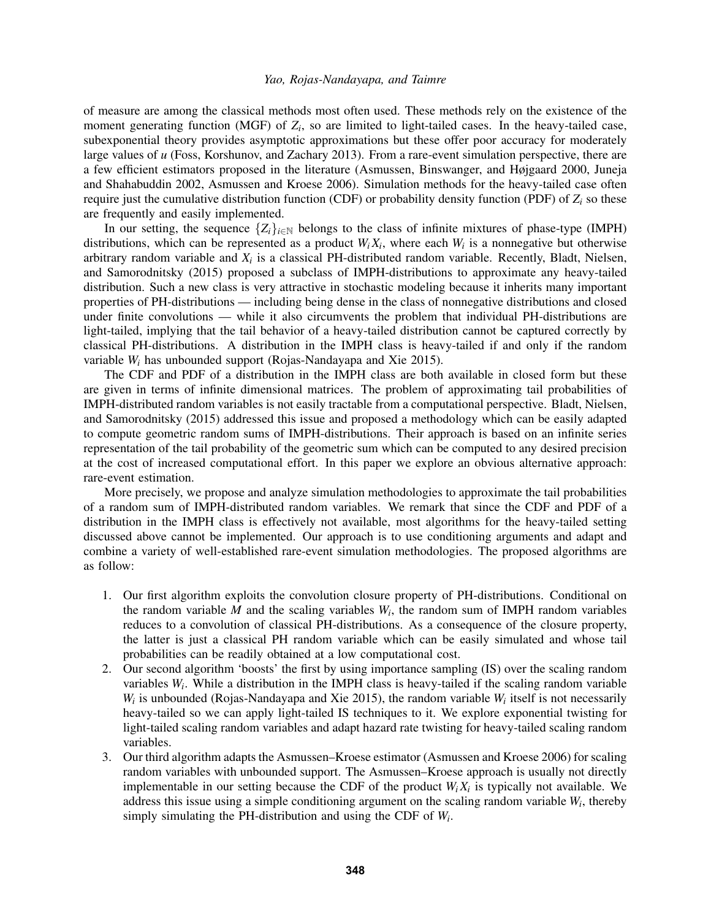of measure are among the classical methods most often used. These methods rely on the existence of the moment generating function (MGF) of  $Z_i$ , so are limited to light-tailed cases. In the heavy-tailed case, subexponential theory provides asymptotic approximations but these offer poor accuracy for moderately large values of *u* (Foss, Korshunov, and Zachary 2013). From a rare-event simulation perspective, there are a few efficient estimators proposed in the literature (Asmussen, Binswanger, and Højgaard 2000, Juneja and Shahabuddin 2002, Asmussen and Kroese 2006). Simulation methods for the heavy-tailed case often require just the cumulative distribution function (CDF) or probability density function (PDF) of *Z<sup>i</sup>* so these are frequently and easily implemented.

In our setting, the sequence  ${Z_i}_{i \in \mathbb{N}}$  belongs to the class of infinite mixtures of phase-type (IMPH) distributions, which can be represented as a product  $W_i X_i$ , where each  $W_i$  is a nonnegative but otherwise arbitrary random variable and *X<sup>i</sup>* is a classical PH-distributed random variable. Recently, Bladt, Nielsen, and Samorodnitsky (2015) proposed a subclass of IMPH-distributions to approximate any heavy-tailed distribution. Such a new class is very attractive in stochastic modeling because it inherits many important properties of PH-distributions — including being dense in the class of nonnegative distributions and closed under finite convolutions — while it also circumvents the problem that individual PH-distributions are light-tailed, implying that the tail behavior of a heavy-tailed distribution cannot be captured correctly by classical PH-distributions. A distribution in the IMPH class is heavy-tailed if and only if the random variable *W<sup>i</sup>* has unbounded support (Rojas-Nandayapa and Xie 2015).

The CDF and PDF of a distribution in the IMPH class are both available in closed form but these are given in terms of infinite dimensional matrices. The problem of approximating tail probabilities of IMPH-distributed random variables is not easily tractable from a computational perspective. Bladt, Nielsen, and Samorodnitsky (2015) addressed this issue and proposed a methodology which can be easily adapted to compute geometric random sums of IMPH-distributions. Their approach is based on an infinite series representation of the tail probability of the geometric sum which can be computed to any desired precision at the cost of increased computational effort. In this paper we explore an obvious alternative approach: rare-event estimation.

More precisely, we propose and analyze simulation methodologies to approximate the tail probabilities of a random sum of IMPH-distributed random variables. We remark that since the CDF and PDF of a distribution in the IMPH class is effectively not available, most algorithms for the heavy-tailed setting discussed above cannot be implemented. Our approach is to use conditioning arguments and adapt and combine a variety of well-established rare-event simulation methodologies. The proposed algorithms are as follow:

- 1. Our first algorithm exploits the convolution closure property of PH-distributions. Conditional on the random variable  $M$  and the scaling variables  $W_i$ , the random sum of IMPH random variables reduces to a convolution of classical PH-distributions. As a consequence of the closure property, the latter is just a classical PH random variable which can be easily simulated and whose tail probabilities can be readily obtained at a low computational cost.
- 2. Our second algorithm 'boosts' the first by using importance sampling (IS) over the scaling random variables *W<sup>i</sup>* . While a distribution in the IMPH class is heavy-tailed if the scaling random variable  $W_i$  is unbounded (Rojas-Nandayapa and Xie 2015), the random variable  $W_i$  itself is not necessarily heavy-tailed so we can apply light-tailed IS techniques to it. We explore exponential twisting for light-tailed scaling random variables and adapt hazard rate twisting for heavy-tailed scaling random variables.
- 3. Our third algorithm adapts the Asmussen–Kroese estimator (Asmussen and Kroese 2006) for scaling random variables with unbounded support. The Asmussen–Kroese approach is usually not directly implementable in our setting because the CDF of the product  $W_i X_i$  is typically not available. We address this issue using a simple conditioning argument on the scaling random variable *W<sup>i</sup>* , thereby simply simulating the PH-distribution and using the CDF of *W<sup>i</sup>* .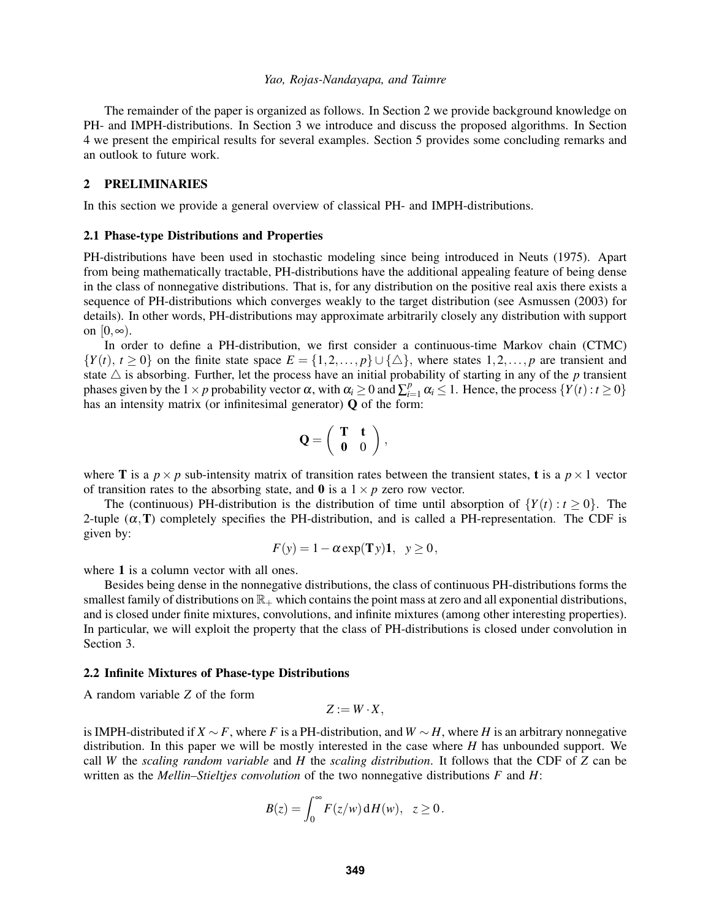The remainder of the paper is organized as follows. In Section 2 we provide background knowledge on PH- and IMPH-distributions. In Section 3 we introduce and discuss the proposed algorithms. In Section 4 we present the empirical results for several examples. Section 5 provides some concluding remarks and an outlook to future work.

# 2 PRELIMINARIES

In this section we provide a general overview of classical PH- and IMPH-distributions.

### 2.1 Phase-type Distributions and Properties

PH-distributions have been used in stochastic modeling since being introduced in Neuts (1975). Apart from being mathematically tractable, PH-distributions have the additional appealing feature of being dense in the class of nonnegative distributions. That is, for any distribution on the positive real axis there exists a sequence of PH-distributions which converges weakly to the target distribution (see Asmussen (2003) for details). In other words, PH-distributions may approximate arbitrarily closely any distribution with support on  $[0, \infty)$ .

In order to define a PH-distribution, we first consider a continuous-time Markov chain (CTMC)  ${Y(t), t \ge 0}$  on the finite state space  $E = \{1, 2, ..., p\} \cup \{\triangle\}$ , where states  $1, 2, ..., p$  are transient and state  $\triangle$  is absorbing. Further, let the process have an initial probability of starting in any of the *p* transient phases given by the  $1 \times p$  probability vector  $\alpha$ , with  $\alpha_i \geq 0$  and  $\sum_{i=1}^p \alpha_i \leq 1$ . Hence, the process  $\{Y(t) : t \geq 0\}$ has an intensity matrix (or infinitesimal generator)  $Q$  of the form:

$$
Q=\left(\begin{array}{cc} T & t \\ 0 & 0 \end{array}\right),
$$

where **T** is a  $p \times p$  sub-intensity matrix of transition rates between the transient states, **t** is a  $p \times 1$  vector of transition rates to the absorbing state, and  $\bf{0}$  is a  $1 \times p$  zero row vector.

The (continuous) PH-distribution is the distribution of time until absorption of  $\{Y(t): t \geq 0\}$ . The 2-tuple  $(\alpha, T)$  completely specifies the PH-distribution, and is called a PH-representation. The CDF is given by:

$$
F(y) = 1 - \alpha \exp(\mathbf{T}y)\mathbf{1}, \ \ y \ge 0,
$$

where 1 is a column vector with all ones.

Besides being dense in the nonnegative distributions, the class of continuous PH-distributions forms the smallest family of distributions on  $\mathbb{R}_+$  which contains the point mass at zero and all exponential distributions, and is closed under finite mixtures, convolutions, and infinite mixtures (among other interesting properties). In particular, we will exploit the property that the class of PH-distributions is closed under convolution in Section 3.

#### 2.2 Infinite Mixtures of Phase-type Distributions

A random variable *Z* of the form

$$
Z:=W\cdot X,
$$

is IMPH-distributed if *X* ∼ *F*, where *F* is a PH-distribution, and *W* ∼ *H*, where *H* is an arbitrary nonnegative distribution. In this paper we will be mostly interested in the case where *H* has unbounded support. We call *W* the *scaling random variable* and *H* the *scaling distribution*. It follows that the CDF of *Z* can be written as the *Mellin–Stieltjes convolution* of the two nonnegative distributions *F* and *H*:

$$
B(z) = \int_0^\infty F(z/w) \, dH(w), \quad z \ge 0.
$$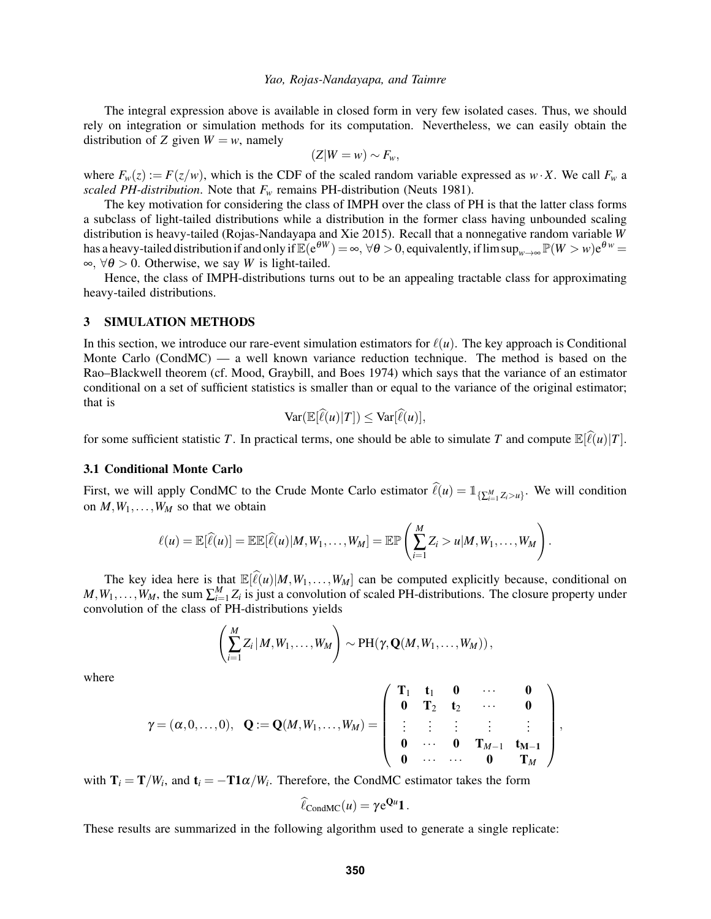The integral expression above is available in closed form in very few isolated cases. Thus, we should rely on integration or simulation methods for its computation. Nevertheless, we can easily obtain the distribution of *Z* given  $W = w$ , namely

$$
(Z|W=w) \sim F_w,
$$

where  $F_w(z) := F(z/w)$ , which is the CDF of the scaled random variable expressed as  $w \cdot X$ . We call  $F_w$  a *scaled PH-distribution*. Note that  $F_w$  remains PH-distribution (Neuts 1981).

The key motivation for considering the class of IMPH over the class of PH is that the latter class forms a subclass of light-tailed distributions while a distribution in the former class having unbounded scaling distribution is heavy-tailed (Rojas-Nandayapa and Xie 2015). Recall that a nonnegative random variable *W* has a heavy-tailed distribution if and only if  $\mathbb{E}(\mathrm{e}^{\theta W}) = \infty$ ,  $\forall \theta > 0$ , equivalently, if  $\limsup_{w\to\infty} \mathbb{P}(W > w) \mathrm{e}^{\theta w} =$  $\infty$ , ∀ $\theta$  > 0. Otherwise, we say *W* is light-tailed.

Hence, the class of IMPH-distributions turns out to be an appealing tractable class for approximating heavy-tailed distributions.

## 3 SIMULATION METHODS

In this section, we introduce our rare-event simulation estimators for  $\ell(u)$ . The key approach is Conditional Monte Carlo (CondMC) — a well known variance reduction technique. The method is based on the Rao–Blackwell theorem (cf. Mood, Graybill, and Boes 1974) which says that the variance of an estimator conditional on a set of sufficient statistics is smaller than or equal to the variance of the original estimator; that is

$$
\text{Var}(\mathbb{E}[\widehat{\ell}(u)|T]) \leq \text{Var}[\widehat{\ell}(u)],
$$

for some sufficient statistic *T*. In practical terms, one should be able to simulate *T* and compute  $\mathbb{E}[\ell(u)|T]$ .

### 3.1 Conditional Monte Carlo

First, we will apply CondMC to the Crude Monte Carlo estimator  $\hat{\ell}(u) = \mathbb{1}_{\{\sum_{i=1}^{M} Z_i > u\}}$ . We will condition on  $M, W_1, \ldots, W_M$  so that we obtain

$$
\ell(u) = \mathbb{E}[\widehat{\ell}(u)] = \mathbb{E}\mathbb{E}[\widehat{\ell}(u)|M, W_1, \ldots, W_M] = \mathbb{E}\mathbb{P}\left(\sum_{i=1}^M Z_i > u|M, W_1, \ldots, W_M\right).
$$

The key idea here is that  $\mathbb{E}[\hat{\ell}(u)|M, W_1, \ldots, W_M]$  can be computed explicitly because, conditional on  $M, W_1, \ldots, W_M$ , the sum  $\sum_{i=1}^M Z_i$  is just a convolution of scaled PH-distributions. The closure property under convolution of the class of PH-distributions yields

$$
\left(\sum_{i=1}^M Z_i\,|\,M,W_1,\ldots,W_M\right)\sim \text{PH}(\gamma,\mathbf{Q}(M,W_1,\ldots,W_M))\,,
$$

where

$$
\gamma = (\alpha, 0, \ldots, 0), \quad \mathbf{Q} := \mathbf{Q}(M, W_1, \ldots, W_M) = \left( \begin{array}{ccccc} \mathbf{T}_1 & \mathbf{t}_1 & \mathbf{0} & \cdots & \mathbf{0} \\ \mathbf{0} & \mathbf{T}_2 & \mathbf{t}_2 & \cdots & \mathbf{0} \\ \vdots & \vdots & \vdots & \vdots & \vdots \\ \mathbf{0} & \cdots & \mathbf{0} & \mathbf{T}_{M-1} & \mathbf{t}_{M-1} \\ \mathbf{0} & \cdots & \cdots & \mathbf{0} & \mathbf{T}_M \end{array} \right)
$$

,

with  $T_i = T/W_i$ , and  $t_i = -T1\alpha/W_i$ . Therefore, the CondMC estimator takes the form

$$
\widehat{\ell}_{\text{CondMC}}(u) = \gamma e^{\mathbf{Q}u} \mathbf{1}.
$$

These results are summarized in the following algorithm used to generate a single replicate: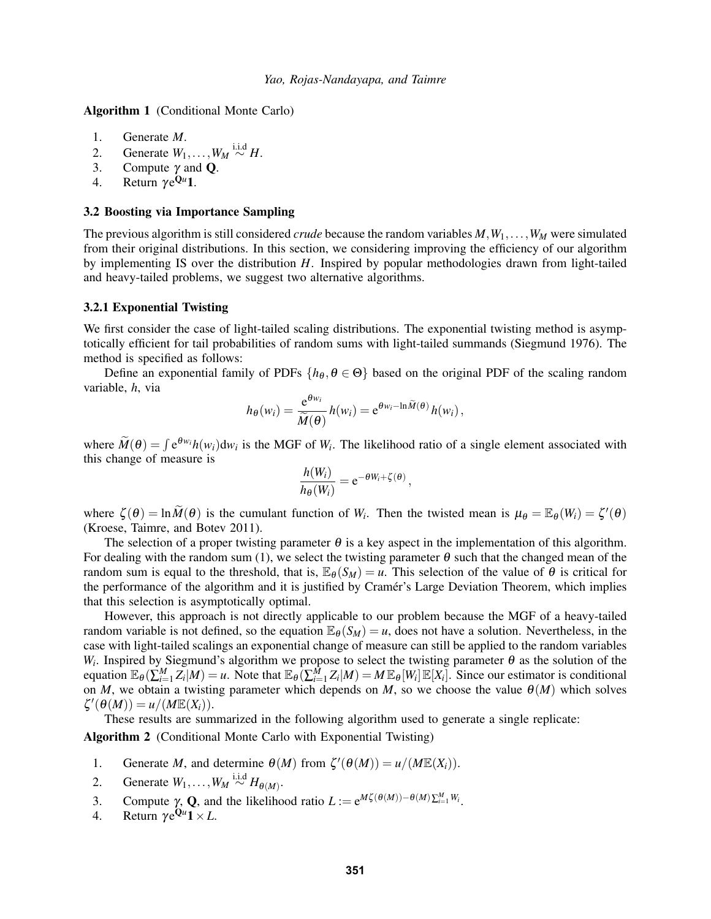Algorithm 1 (Conditional Monte Carlo)

- 1. Generate *M*.
- 2. Generate  $W_1, \ldots, W_M \stackrel{\text{i.i.d}}{\sim} H$ .
- 3. Compute  $\gamma$  and **Q**.<br>4. Return  $\gamma e^{Qu}$ **1**.
- 4. Return  $\gamma e^{\mathbf{Q}u}$ 1.

### 3.2 Boosting via Importance Sampling

The previous algorithm is still considered *crude* because the random variables  $M, W_1, \ldots, W_M$  were simulated from their original distributions. In this section, we considering improving the efficiency of our algorithm by implementing IS over the distribution *H*. Inspired by popular methodologies drawn from light-tailed and heavy-tailed problems, we suggest two alternative algorithms.

### 3.2.1 Exponential Twisting

We first consider the case of light-tailed scaling distributions. The exponential twisting method is asymptotically efficient for tail probabilities of random sums with light-tailed summands (Siegmund 1976). The method is specified as follows:

Define an exponential family of PDFs  $\{h_{\theta}, \theta \in \Theta\}$  based on the original PDF of the scaling random variable, *h*, via

$$
h_{\theta}(w_i) = \frac{e^{\theta w_i}}{\widetilde{M}(\theta)} h(w_i) = e^{\theta w_i - \ln \widetilde{M}(\theta)} h(w_i),
$$

where  $\widetilde{M}(\theta) = \int e^{\theta w_i} h(w_i) dw_i$  is the MGF of  $W_i$ . The likelihood ratio of a single element associated with this change of measure is

$$
\frac{h(W_i)}{h_{\theta}(W_i)} = e^{-\theta W_i + \zeta(\theta)},
$$

where  $\zeta(\theta) = \ln \widetilde{M}(\theta)$  is the cumulant function of  $W_i$ . Then the twisted mean is  $\mu_{\theta} = \mathbb{E}_{\theta}(W_i) = \zeta'(\theta)$ (Kroese, Taimre, and Botev 2011).

The selection of a proper twisting parameter  $\theta$  is a key aspect in the implementation of this algorithm. For dealing with the random sum (1), we select the twisting parameter  $\theta$  such that the changed mean of the random sum is equal to the threshold, that is,  $\mathbb{E}_{\theta}(S_M) = u$ . This selection of the value of  $\theta$  is critical for the performance of the algorithm and it is justified by Cramér's Large Deviation Theorem, which implies that this selection is asymptotically optimal.

However, this approach is not directly applicable to our problem because the MGF of a heavy-tailed random variable is not defined, so the equation  $\mathbb{E}_{\theta}(S_M) = u$ , does not have a solution. Nevertheless, in the case with light-tailed scalings an exponential change of measure can still be applied to the random variables *W<sub>i</sub>*. Inspired by Siegmund's algorithm we propose to select the twisting parameter  $\theta$  as the solution of the equation  $\mathbb{E}_{\theta}(\sum_{i=1}^{M} Z_i | M) = u$ . Note that  $\mathbb{E}_{\theta}(\sum_{i=1}^{M} Z_i | M) = M \mathbb{E}_{\theta}[W_i] \mathbb{E}[X_i]$ . Since our estimator is conditional on *M*, we obtain a twisting parameter which depends on *M*, so we choose the value  $\theta(M)$  which solves  $\zeta'(\theta(M)) = u/(M\mathbb{E}(X_i)).$ 

These results are summarized in the following algorithm used to generate a single replicate: Algorithm 2 (Conditional Monte Carlo with Exponential Twisting)

- 1. Generate *M*, and determine  $\theta(M)$  from  $\zeta'(\theta(M)) = u/(M\mathbb{E}(X_i)).$
- 2. Generate  $W_1, \ldots, W_M \stackrel{\text{i.i.d}}{\sim} H_{\theta(M)}$ .
- 3. Compute γ, **Q**, and the likelihood ratio  $L := e^{M\zeta(\theta(M)) \theta(M)\sum_{i=1}^{M}W_i}$ .
- 4. Return  $\gamma e^{\mathbf{Q}u}\mathbf{1} \times L$ .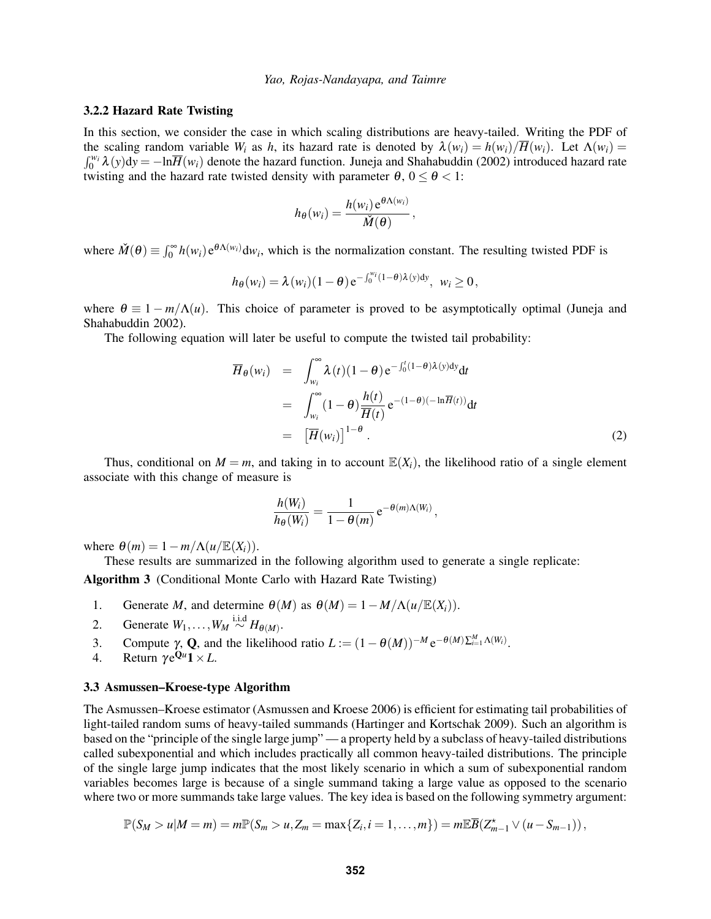## 3.2.2 Hazard Rate Twisting

In this section, we consider the case in which scaling distributions are heavy-tailed. Writing the PDF of the scaling random variable  $W_i$  as  $h$ , its hazard rate is denoted by  $\lambda(w_i) = h(w_i)/\overline{H}(w_i)$ . Let  $\Lambda(w_i) =$  $\int_0^{w_i} \lambda(y) dy = -\ln \overline{H}(w_i)$  denote the hazard function. Juneja and Shahabuddin (2002) introduced hazard rate twisting and the hazard rate twisted density with parameter  $\theta$ ,  $0 \le \theta < 1$ :

$$
h_{\theta}(w_i) = \frac{h(w_i) e^{\theta \Lambda(w_i)}}{\check{M}(\theta)},
$$

where  $\check{M}(\theta) \equiv \int_0^\infty h(w_i) e^{\theta \Lambda(w_i)} dw_i$ , which is the normalization constant. The resulting twisted PDF is

$$
h_{\theta}(w_i) = \lambda(w_i)(1-\theta) e^{-\int_0^{w_i}(1-\theta)\lambda(y)dy}, \ \ w_i \ge 0,
$$

where  $\theta \equiv 1 - m/\Lambda(u)$ . This choice of parameter is proved to be asymptotically optimal (Juneja and Shahabuddin 2002).

The following equation will later be useful to compute the twisted tail probability:

$$
\overline{H}_{\theta}(w_i) = \int_{w_i}^{\infty} \lambda(t) (1 - \theta) e^{-\int_0^t (1 - \theta) \lambda(y) dy} dt
$$
  
\n
$$
= \int_{w_i}^{\infty} (1 - \theta) \frac{h(t)}{\overline{H}(t)} e^{-(1 - \theta)(-\ln \overline{H}(t))} dt
$$
  
\n
$$
= [\overline{H}(w_i)]^{1 - \theta}.
$$
\n(2)

Thus, conditional on  $M = m$ , and taking in to account  $\mathbb{E}(X_i)$ , the likelihood ratio of a single element associate with this change of measure is

$$
\frac{h(W_i)}{h_{\theta}(W_i)} = \frac{1}{1 - \theta(m)} e^{-\theta(m)\Lambda(W_i)},
$$

where  $\theta(m) = 1 - m/\Lambda(u/\mathbb{E}(X_i)).$ 

These results are summarized in the following algorithm used to generate a single replicate:

Algorithm 3 (Conditional Monte Carlo with Hazard Rate Twisting)

- 1. Generate *M*, and determine  $\theta(M)$  as  $\theta(M) = 1 M/\Lambda(u/\mathbb{E}(X_i)).$
- 2. Generate  $W_1, \ldots, W_M \stackrel{\text{i.i.d}}{\sim} H_{\theta(M)}$ .
- 3. Compute  $\gamma$ , **Q**, and the likelihood ratio  $L := (1 \theta(M))^{-M} e^{-\theta(M) \sum_{i=1}^{M} \Lambda(W_i)}$ .
- 4. Return  $\gamma e^{\mathbf{Q}u}\mathbf{1} \times L$ .

### 3.3 Asmussen–Kroese-type Algorithm

The Asmussen–Kroese estimator (Asmussen and Kroese 2006) is efficient for estimating tail probabilities of light-tailed random sums of heavy-tailed summands (Hartinger and Kortschak 2009). Such an algorithm is based on the "principle of the single large jump" — a property held by a subclass of heavy-tailed distributions called subexponential and which includes practically all common heavy-tailed distributions. The principle of the single large jump indicates that the most likely scenario in which a sum of subexponential random variables becomes large is because of a single summand taking a large value as opposed to the scenario where two or more summands take large values. The key idea is based on the following symmetry argument:

$$
\mathbb{P}(S_M > u|M = m) = m \mathbb{P}(S_m > u, Z_m = \max\{Z_i, i = 1,\ldots,m\}) = m \mathbb{E}\overline{B}(Z_{m-1}^{\star} \vee (u - S_{m-1})),
$$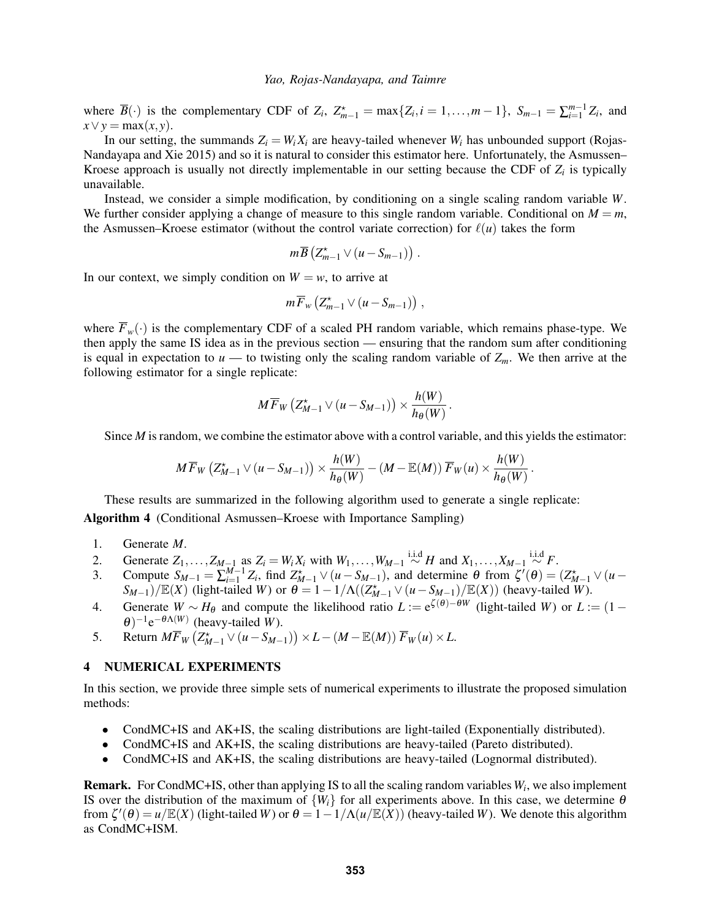where  $\overline{B}(\cdot)$  is the complementary CDF of  $Z_i$ ,  $Z_{m-1}^* = \max\{Z_i, i = 1, ..., m-1\}$ ,  $S_{m-1} = \sum_{i=1}^{m-1} Z_i$ , and  $x \vee y = \max(x, y)$ .

In our setting, the summands  $Z_i = W_i X_i$  are heavy-tailed whenever  $W_i$  has unbounded support (Rojas-Nandayapa and Xie 2015) and so it is natural to consider this estimator here. Unfortunately, the Asmussen– Kroese approach is usually not directly implementable in our setting because the CDF of *Z<sup>i</sup>* is typically unavailable.

Instead, we consider a simple modification, by conditioning on a single scaling random variable *W*. We further consider applying a change of measure to this single random variable. Conditional on  $M = m$ , the Asmussen–Kroese estimator (without the control variate correction) for  $\ell(u)$  takes the form

$$
m\overline{B}\left(Z_{m-1}^{\star}\vee (u-S_{m-1})\right).
$$

In our context, we simply condition on  $W = w$ , to arrive at

$$
m\overline{F}_w\left(Z_{m-1}^*\vee (u-S_{m-1})\right),\,
$$

where  $\overline{F}_w(\cdot)$  is the complementary CDF of a scaled PH random variable, which remains phase-type. We then apply the same IS idea as in the previous section — ensuring that the random sum after conditioning is equal in expectation to  $u$  — to twisting only the scaling random variable of  $Z_m$ . We then arrive at the following estimator for a single replicate:

$$
M\overline{F}_W\left(Z_{M-1}^{\star}\vee (u-S_{M-1})\right)\times \frac{h(W)}{h_{\theta}(W)}.
$$

Since *M* is random, we combine the estimator above with a control variable, and this yields the estimator:

$$
M\overline{F}_W\left(Z_{M-1}^\star\vee (u-S_{M-1})\right)\times \frac{h(W)}{h_\theta(W)}-(M-\mathbb{E}(M))\overline{F}_W(u)\times \frac{h(W)}{h_\theta(W)}.
$$

These results are summarized in the following algorithm used to generate a single replicate: Algorithm 4 (Conditional Asmussen–Kroese with Importance Sampling)

- 1. Generate *M*.
- 2. Generate  $Z_1, \ldots, Z_{M-1}$  as  $Z_i = W_i X_i$  with  $W_1, \ldots, W_{M-1} \stackrel{\text{i.i.d}}{\sim} H$  and  $X_1, \ldots, X_{M-1} \stackrel{\text{i.i.d}}{\sim} F$ .
- 3. Compute  $S_{M-1} = \sum_{i=1}^{M-1} Z_i$ , find  $Z_{M-1}^* \vee (u S_{M-1})$ , and determine  $\theta$  from  $\zeta'(\theta) = (Z_{M-1}^* \vee (u S_{M-1}))$  $S_{M-1}$ )/ $\mathbb{E}(X)$  (light-tailed *W*) or  $\theta = 1 - 1/\Lambda((Z_{M-1}^{\star} \vee (u - S_{M-1})/\mathbb{E}(X))$  (heavy-tailed *W*).
- 4. Generate  $W \sim H_\theta$  and compute the likelihood ratio  $L := e^{\zeta(\theta) \theta W}$  (light-tailed *W*) or  $L := (1 \theta)^2$  $\theta$ )<sup>-1</sup>e<sup>- $\theta$  $\Lambda$ (*W*)</sup> (heavy-tailed *W*).
- 5. Return  $M\overline{F}_W(Z_{M-1}^* \vee (u S_{M-1})) \times L (M \mathbb{E}(M)) \overline{F}_W(u) \times L$ .

## 4 NUMERICAL EXPERIMENTS

In this section, we provide three simple sets of numerical experiments to illustrate the proposed simulation methods:

- CondMC+IS and AK+IS, the scaling distributions are light-tailed (Exponentially distributed).
- CondMC+IS and AK+IS, the scaling distributions are heavy-tailed (Pareto distributed).
- CondMC+IS and AK+IS, the scaling distributions are heavy-tailed (Lognormal distributed).

Remark. For CondMC+IS, other than applying IS to all the scaling random variables *W<sup>i</sup>* , we also implement IS over the distribution of the maximum of  $\{W_i\}$  for all experiments above. In this case, we determine  $\theta$ from  $\zeta'(\theta) = u/\mathbb{E}(X)$  (light-tailed *W*) or  $\theta = 1 - 1/\Lambda(u/\mathbb{E}(X))$  (heavy-tailed *W*). We denote this algorithm as CondMC+ISM.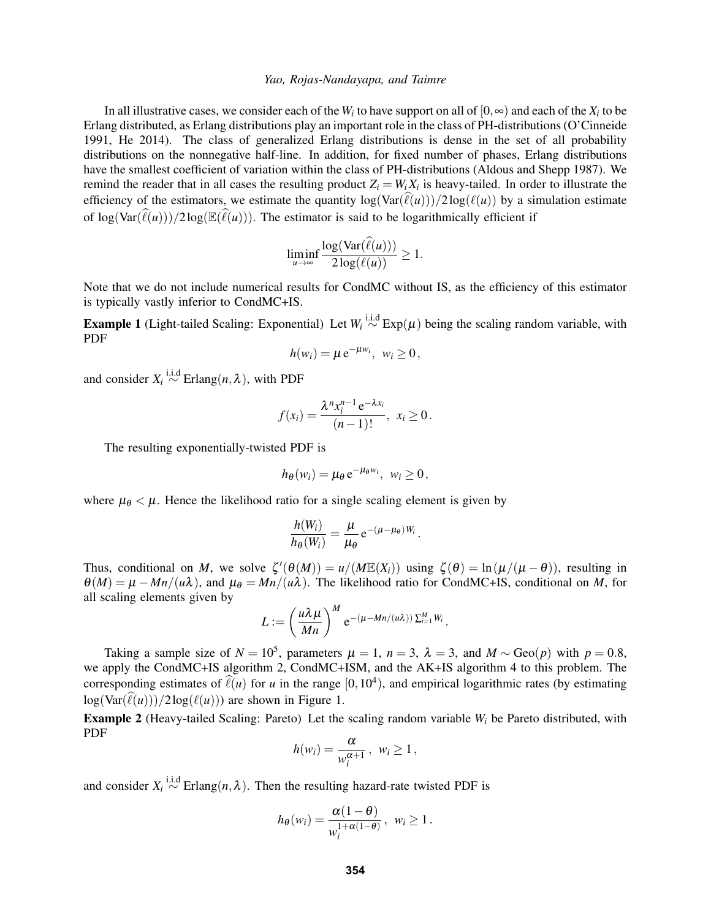In all illustrative cases, we consider each of the  $W_i$  to have support on all of  $[0,\infty)$  and each of the  $X_i$  to be Erlang distributed, as Erlang distributions play an important role in the class of PH-distributions (O'Cinneide 1991, He 2014). The class of generalized Erlang distributions is dense in the set of all probability distributions on the nonnegative half-line. In addition, for fixed number of phases, Erlang distributions have the smallest coefficient of variation within the class of PH-distributions (Aldous and Shepp 1987). We remind the reader that in all cases the resulting product  $Z_i = W_i X_i$  is heavy-tailed. In order to illustrate the efficiency of the estimators, we estimate the quantity  $\log(\text{Var}(\hat{\ell}(u)))/2\log(\ell(u))$  by a simulation estimate of  $\log(\text{Var}(\hat{\ell}(u)))/2\log(\mathbb{E}(\hat{\ell}(u)))$ . The estimator is said to be logarithmically efficient if

$$
\liminf_{u\to\infty}\frac{\log(\text{Var}(\ell(u)))}{2\log(\ell(u))}\geq 1.
$$

Note that we do not include numerical results for CondMC without IS, as the efficiency of this estimator is typically vastly inferior to CondMC+IS.

**Example 1** (Light-tailed Scaling: Exponential) Let  $W_i \stackrel{\text{i.i.d}}{\sim} \text{Exp}(\mu)$  being the scaling random variable, with PDF

$$
h(w_i) = \mu e^{-\mu w_i}, \ w_i \ge 0,
$$

and consider  $X_i \stackrel{\text{i.i.d}}{\sim} \text{Erlang}(n, \lambda)$ , with PDF

$$
f(x_i)=\frac{\lambda^n x_i^{n-1}e^{-\lambda x_i}}{(n-1)!},\ x_i\geq 0.
$$

The resulting exponentially-twisted PDF is

$$
h_{\theta}(w_i) = \mu_{\theta} e^{-\mu_{\theta} w_i}, \ w_i \ge 0,
$$

where  $\mu_{\theta} < \mu$ . Hence the likelihood ratio for a single scaling element is given by

$$
\frac{h(W_i)}{h_{\theta}(W_i)} = \frac{\mu}{\mu_{\theta}} e^{-(\mu - \mu_{\theta})W_i}
$$

.

Thus, conditional on *M*, we solve  $\zeta'(\theta(M)) = u/(M\mathbb{E}(X_i))$  using  $\zeta(\theta) = \ln(\mu/(\mu - \theta))$ , resulting in  $\theta(M) = \mu - Mn/(\mu\lambda)$ , and  $\mu_{\theta} = Mn/(\mu\lambda)$ . The likelihood ratio for CondMC+IS, conditional on *M*, for all scaling elements given by

$$
L:=\left(\frac{u\lambda\mu}{Mn}\right)^M e^{-(\mu-Mn/(u\lambda))\sum_{i=1}^M W_i}.
$$

Taking a sample size of  $N = 10^5$ , parameters  $\mu = 1$ ,  $n = 3$ ,  $\lambda = 3$ , and  $M \sim \text{Geo}(p)$  with  $p = 0.8$ , we apply the CondMC+IS algorithm 2, CondMC+ISM, and the AK+IS algorithm 4 to this problem. The corresponding estimates of  $\ell(u)$  for *u* in the range  $[0, 10^4)$ , and empirical logarithmic rates (by estimating  $\log(\text{Var}(\widehat{\ell}(u)))/2\log(\ell(u))$  are shown in Figure 1.

Example 2 (Heavy-tailed Scaling: Pareto) Let the scaling random variable *W<sup>i</sup>* be Pareto distributed, with PDF

$$
h(w_i) = \frac{\alpha}{w_i^{\alpha+1}}, \ w_i \ge 1,
$$

and consider  $X_i \stackrel{i.i.d}{\sim}$  Erlang $(n, \lambda)$ . Then the resulting hazard-rate twisted PDF is

$$
h_{\theta}(w_i) = \frac{\alpha(1-\theta)}{w_i^{1+\alpha(1-\theta)}}, \ \ w_i \ge 1.
$$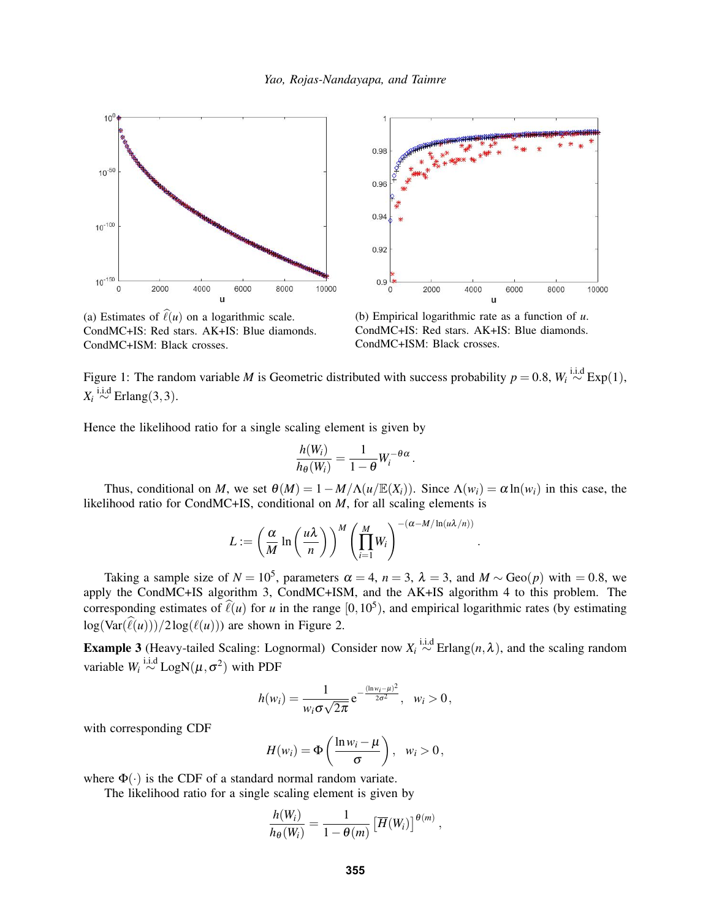





(b) Empirical logarithmic rate as a function of *u*. CondMC+IS: Red stars. AK+IS: Blue diamonds. CondMC+ISM: Black crosses.

.

Figure 1: The random variable *M* is Geometric distributed with success probability  $p = 0.8$ ,  $W_i \stackrel{\text{i.i.d}}{\sim} \text{Exp}(1)$ ,  $X_i \stackrel{\text{i.i.d}}{\sim} \text{Erlang}(3,3)$ .

Hence the likelihood ratio for a single scaling element is given by

$$
\frac{h(W_i)}{h_{\theta}(W_i)} = \frac{1}{1-\theta} W_i^{-\theta\alpha}
$$

.

Thus, conditional on *M*, we set  $\theta(M) = 1 - M/\Lambda(u/\mathbb{E}(X_i))$ . Since  $\Lambda(w_i) = \alpha \ln(w_i)$  in this case, the likelihood ratio for CondMC+IS, conditional on *M*, for all scaling elements is

$$
L := \left(\frac{\alpha}{M} \ln \left(\frac{u\lambda}{n}\right)\right)^M \left(\prod_{i=1}^M W_i\right)^{-(\alpha - M/\ln(u\lambda/n))}
$$

Taking a sample size of  $N = 10^5$ , parameters  $\alpha = 4$ ,  $n = 3$ ,  $\lambda = 3$ , and  $M \sim \text{Geo}(p)$  with  $= 0.8$ , we apply the CondMC+IS algorithm 3, CondMC+ISM, and the AK+IS algorithm 4 to this problem. The corresponding estimates of  $\ell(u)$  for *u* in the range  $[0, 10^5)$ , and empirical logarithmic rates (by estimating  $log(Var(\hat{\ell}(u)))/2log(\ell(u))$  are shown in Figure 2.

**Example 3** (Heavy-tailed Scaling: Lognormal) Consider now  $X_i \stackrel{i.i.d}{\sim}$  Erlang $(n, \lambda)$ , and the scaling random variable  $W_i \stackrel{\text{i.i.d}}{\sim} \text{LogN}(\mu, \sigma^2)$  with PDF

$$
h(w_i) = \frac{1}{w_i \sigma \sqrt{2\pi}} e^{-\frac{(\ln w_i - \mu)^2}{2\sigma^2}}, \quad w_i > 0,
$$

with corresponding CDF

$$
H(w_i) = \Phi\left(\frac{\ln w_i - \mu}{\sigma}\right), \quad w_i > 0,
$$

where  $\Phi(\cdot)$  is the CDF of a standard normal random variate.

The likelihood ratio for a single scaling element is given by

$$
\frac{h(W_i)}{h_{\theta}(W_i)} = \frac{1}{1-\theta(m)} \left[ \overline{H}(W_i) \right]^{\theta(m)},
$$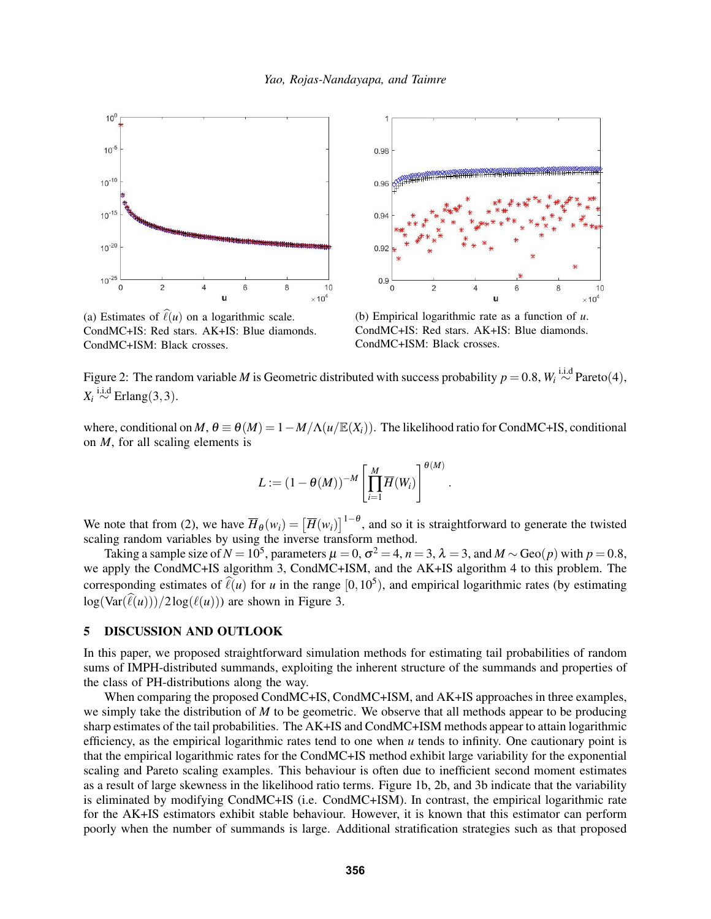



(a) Estimates of  $\hat{\ell}(u)$  on a logarithmic scale. CondMC+IS: Red stars. AK+IS: Blue diamonds. CondMC+ISM: Black crosses.



.

Figure 2: The random variable *M* is Geometric distributed with success probability  $p = 0.8$ ,  $W_i \stackrel{\text{i.i.d}}{\sim} \text{Pareto}(4)$ ,  $X_i \stackrel{\text{i.i.d}}{\sim} \text{Erlang}(3,3)$ .

where, conditional on *M*,  $\theta \equiv \theta(M) = 1 - M/\Lambda(u/\mathbb{E}(X_i))$ . The likelihood ratio for CondMC+IS, conditional on *M*, for all scaling elements is

$$
L := (1 - \theta(M))^{-M} \left[ \prod_{i=1}^{M} \overline{H}(W_i) \right]^{\theta(M)}
$$

We note that from (2), we have  $\overline{H}_{\theta}(w_i) = [\overline{H}(w_i)]^{1-\theta}$ , and so it is straightforward to generate the twisted scaling random variables by using the inverse transform method.

Taking a sample size of  $N = 10^5$ , parameters  $\mu = 0$ ,  $\sigma^2 = 4$ ,  $n = 3$ ,  $\lambda = 3$ , and  $M \sim \text{Geo}(p)$  with  $p = 0.8$ , we apply the CondMC+IS algorithm 3, CondMC+ISM, and the AK+IS algorithm 4 to this problem. The corresponding estimates of  $\ell(u)$  for *u* in the range  $[0, 10^5)$ , and empirical logarithmic rates (by estimating  $\log(\text{Var}(\hat{\ell}(u)))/2\log(\ell(u))$  are shown in Figure 3.

# 5 DISCUSSION AND OUTLOOK

In this paper, we proposed straightforward simulation methods for estimating tail probabilities of random sums of IMPH-distributed summands, exploiting the inherent structure of the summands and properties of the class of PH-distributions along the way.

When comparing the proposed CondMC+IS, CondMC+ISM, and AK+IS approaches in three examples, we simply take the distribution of *M* to be geometric. We observe that all methods appear to be producing sharp estimates of the tail probabilities. The AK+IS and CondMC+ISM methods appear to attain logarithmic efficiency, as the empirical logarithmic rates tend to one when *u* tends to infinity. One cautionary point is that the empirical logarithmic rates for the CondMC+IS method exhibit large variability for the exponential scaling and Pareto scaling examples. This behaviour is often due to inefficient second moment estimates as a result of large skewness in the likelihood ratio terms. Figure 1b, 2b, and 3b indicate that the variability is eliminated by modifying CondMC+IS (i.e. CondMC+ISM). In contrast, the empirical logarithmic rate for the AK+IS estimators exhibit stable behaviour. However, it is known that this estimator can perform poorly when the number of summands is large. Additional stratification strategies such as that proposed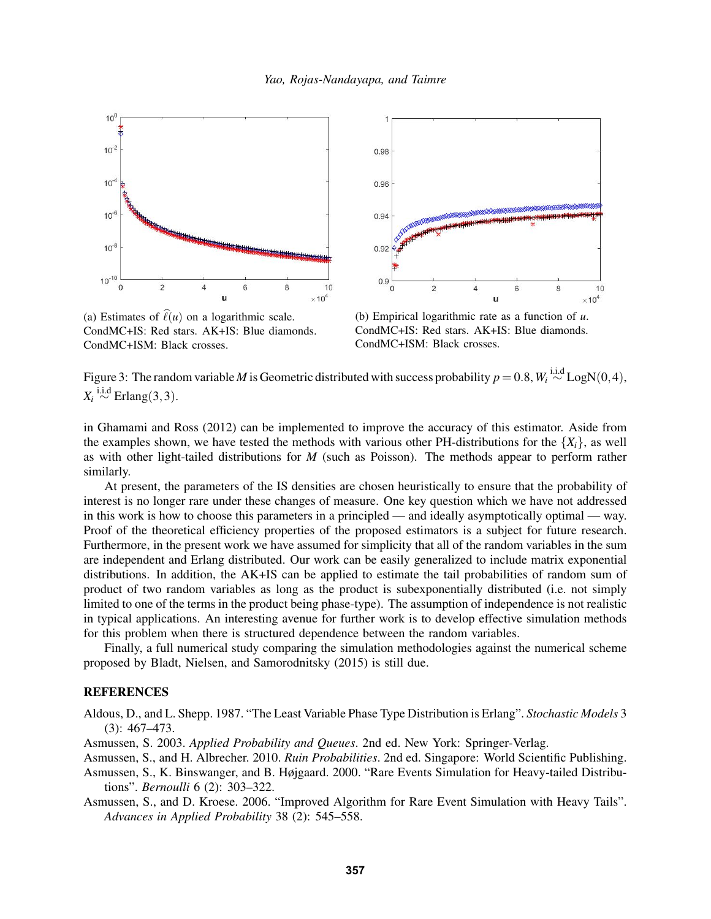



(a) Estimates of  $\hat{\ell}(u)$  on a logarithmic scale. CondMC+IS: Red stars. AK+IS: Blue diamonds. CondMC+ISM: Black crosses.



Figure 3: The random variable *M* is Geometric distributed with success probability  $p = 0.8$ ,  $W_i \stackrel{\text{i.i.d}}{\sim} \text{LogN}(0, 4)$ ,  $X_i \stackrel{\text{i.i.d}}{\sim} \text{Erlang}(3,3)$ .

in Ghamami and Ross (2012) can be implemented to improve the accuracy of this estimator. Aside from the examples shown, we have tested the methods with various other PH-distributions for the  $\{X_i\}$ , as well as with other light-tailed distributions for *M* (such as Poisson). The methods appear to perform rather similarly.

At present, the parameters of the IS densities are chosen heuristically to ensure that the probability of interest is no longer rare under these changes of measure. One key question which we have not addressed in this work is how to choose this parameters in a principled — and ideally asymptotically optimal — way. Proof of the theoretical efficiency properties of the proposed estimators is a subject for future research. Furthermore, in the present work we have assumed for simplicity that all of the random variables in the sum are independent and Erlang distributed. Our work can be easily generalized to include matrix exponential distributions. In addition, the AK+IS can be applied to estimate the tail probabilities of random sum of product of two random variables as long as the product is subexponentially distributed (i.e. not simply limited to one of the terms in the product being phase-type). The assumption of independence is not realistic in typical applications. An interesting avenue for further work is to develop effective simulation methods for this problem when there is structured dependence between the random variables.

Finally, a full numerical study comparing the simulation methodologies against the numerical scheme proposed by Bladt, Nielsen, and Samorodnitsky (2015) is still due.

# **REFERENCES**

Aldous, D., and L. Shepp. 1987. "The Least Variable Phase Type Distribution is Erlang". *Stochastic Models* 3 (3): 467–473.

Asmussen, S. 2003. *Applied Probability and Queues*. 2nd ed. New York: Springer-Verlag.

Asmussen, S., and H. Albrecher. 2010. *Ruin Probabilities*. 2nd ed. Singapore: World Scientific Publishing.

Asmussen, S., K. Binswanger, and B. Højgaard. 2000. "Rare Events Simulation for Heavy-tailed Distributions". *Bernoulli* 6 (2): 303–322.

Asmussen, S., and D. Kroese. 2006. "Improved Algorithm for Rare Event Simulation with Heavy Tails". *Advances in Applied Probability* 38 (2): 545–558.